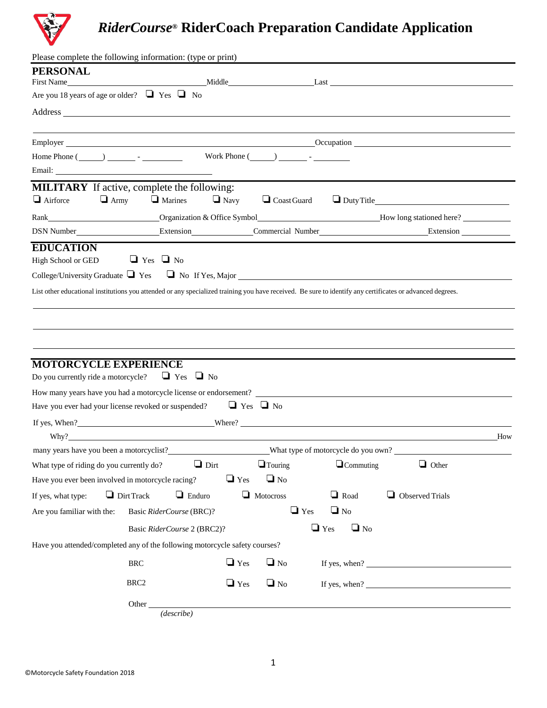

## *RiderCourse***® RiderCoach Preparation Candidate Application**

| Please complete the following information: (type or print)                                                                                                |                                        |                      |                    |                                     |                                                                                                                                                                                                                                |     |
|-----------------------------------------------------------------------------------------------------------------------------------------------------------|----------------------------------------|----------------------|--------------------|-------------------------------------|--------------------------------------------------------------------------------------------------------------------------------------------------------------------------------------------------------------------------------|-----|
| <b>PERSONAL</b>                                                                                                                                           |                                        |                      |                    |                                     |                                                                                                                                                                                                                                |     |
| Are you 18 years of age or older? $\Box$ Yes $\Box$ No                                                                                                    |                                        |                      |                    |                                     | First Name Middle Last Last                                                                                                                                                                                                    |     |
|                                                                                                                                                           |                                        |                      |                    |                                     |                                                                                                                                                                                                                                |     |
|                                                                                                                                                           |                                        |                      |                    |                                     |                                                                                                                                                                                                                                |     |
|                                                                                                                                                           |                                        |                      |                    |                                     | Employer Communication Communication Communication Communication Communication Communication Communication Communication Communication Communication Communication Communication Communication Communication Communication Com |     |
|                                                                                                                                                           |                                        |                      |                    |                                     |                                                                                                                                                                                                                                |     |
|                                                                                                                                                           |                                        |                      |                    |                                     |                                                                                                                                                                                                                                |     |
| <b>MILITARY</b> If active, complete the following:                                                                                                        |                                        |                      |                    |                                     |                                                                                                                                                                                                                                |     |
| $\Box$ Airforce                                                                                                                                           | $\Box$ Army $\Box$ Marines $\Box$ Navy |                      | $\Box$ Coast Guard |                                     |                                                                                                                                                                                                                                |     |
|                                                                                                                                                           |                                        |                      |                    |                                     | Rank Christmas Companization & Office Symbol Electron and The Move of the Property Christmas Companization & Office Symbol Electron and The Move of the Move of the Move of the Move of the Move of the Move of the Move of th |     |
|                                                                                                                                                           |                                        |                      |                    |                                     |                                                                                                                                                                                                                                |     |
| <b>EDUCATION</b>                                                                                                                                          |                                        |                      |                    |                                     |                                                                                                                                                                                                                                |     |
| High School or GED                                                                                                                                        | $\Box$ Yes $\Box$ No                   |                      |                    |                                     |                                                                                                                                                                                                                                |     |
| College/University Graduate $\Box$ Yes $\Box$ No If Yes, Major $\Box$                                                                                     |                                        |                      |                    |                                     |                                                                                                                                                                                                                                |     |
| List other educational institutions you attended or any specialized training you have received. Be sure to identify any certificates or advanced degrees. |                                        |                      |                    |                                     |                                                                                                                                                                                                                                |     |
|                                                                                                                                                           |                                        |                      |                    |                                     |                                                                                                                                                                                                                                |     |
|                                                                                                                                                           |                                        |                      |                    |                                     |                                                                                                                                                                                                                                |     |
|                                                                                                                                                           |                                        |                      |                    |                                     |                                                                                                                                                                                                                                |     |
|                                                                                                                                                           |                                        |                      |                    |                                     |                                                                                                                                                                                                                                |     |
| <b>MOTORCYCLE EXPERIENCE</b>                                                                                                                              |                                        |                      |                    |                                     |                                                                                                                                                                                                                                |     |
| Do you currently ride a motorcycle? $\Box$ Yes $\Box$ No                                                                                                  |                                        |                      |                    |                                     |                                                                                                                                                                                                                                |     |
| How many years have you had a motorcycle license or endorsement?                                                                                          |                                        |                      |                    |                                     |                                                                                                                                                                                                                                |     |
| Have you ever had your license revoked or suspended?                                                                                                      |                                        | $\Box$ Yes $\Box$ No |                    |                                     |                                                                                                                                                                                                                                |     |
| If yes, When?<br><u>Where?</u><br>Where?                                                                                                                  |                                        |                      |                    |                                     |                                                                                                                                                                                                                                |     |
|                                                                                                                                                           |                                        |                      |                    |                                     |                                                                                                                                                                                                                                | How |
| many years have you been a motorcyclist?                                                                                                                  |                                        |                      |                    | What type of motorcycle do you own? |                                                                                                                                                                                                                                |     |
| What type of riding do you currently do?                                                                                                                  | $\Box$ Dirt                            |                      | $\Box$ Touring     | $\Box$ Commuting                    | $\Box$ Other                                                                                                                                                                                                                   |     |
| Have you ever been involved in motorcycle racing?                                                                                                         |                                        | $\Box$ Yes           | $\Box$ No          |                                     |                                                                                                                                                                                                                                |     |
| If yes, what type:                                                                                                                                        | $\Box$ Dirt Track<br>$\Box$ Enduro     |                      | Motocross          | $\Box$ Road                         | Observed Trials                                                                                                                                                                                                                |     |
| Are you familiar with the:                                                                                                                                | Basic RiderCourse (BRC)?               |                      | $\Box$ Yes         | $\Box$ No                           |                                                                                                                                                                                                                                |     |
|                                                                                                                                                           | Basic RiderCourse 2 (BRC2)?            |                      |                    | $\Box$ Yes<br>$\Box$ No             |                                                                                                                                                                                                                                |     |
| Have you attended/completed any of the following motorcycle safety courses?                                                                               |                                        |                      |                    |                                     |                                                                                                                                                                                                                                |     |
|                                                                                                                                                           | $\operatorname{BRC}$                   | $\Box$ Yes           | $\Box$ No          |                                     | If yes, when?                                                                                                                                                                                                                  |     |
|                                                                                                                                                           | BRC <sub>2</sub>                       | $\Box$ Yes           | $\Box$ No          |                                     | If yes, when? $\sqrt{\frac{2}{1-\frac{1}{2}} \left(\frac{1}{2}-\frac{1}{2}\right)^2}$                                                                                                                                          |     |
|                                                                                                                                                           | Other                                  |                      |                    |                                     |                                                                                                                                                                                                                                |     |
|                                                                                                                                                           | (describe)                             |                      |                    |                                     |                                                                                                                                                                                                                                |     |